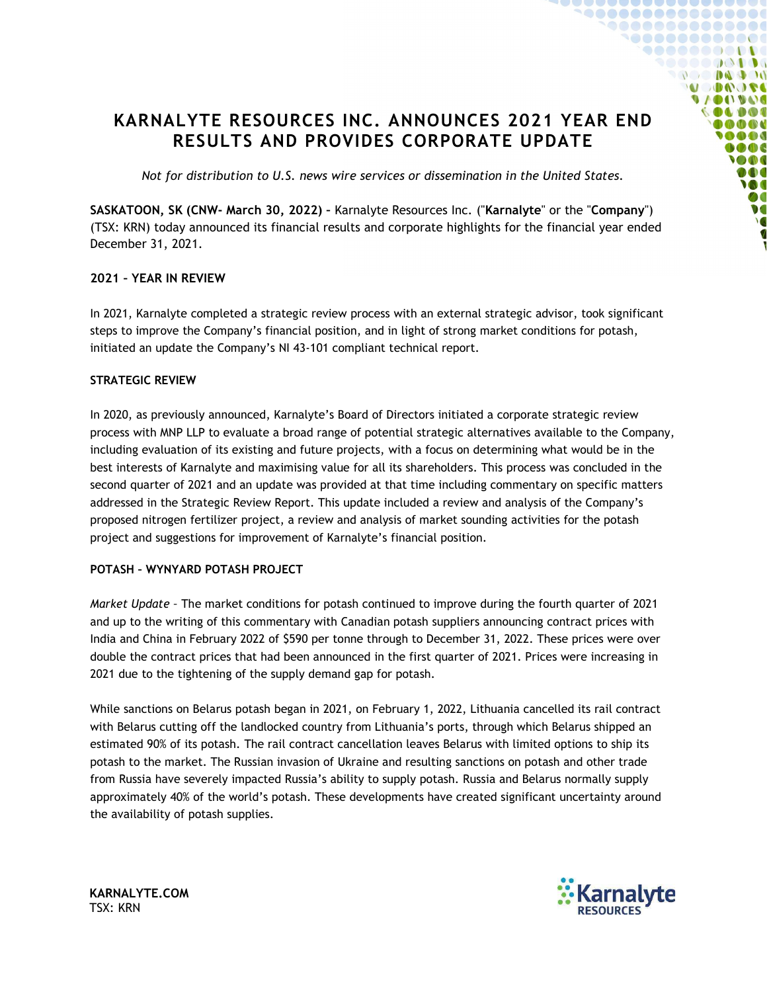# KARNALYTE RESOURCES INC. ANNOUNCES 2021 YEAR END RESULTS AND PROVIDES CORPORATE UPDATE

Not for distribution to U.S. news wire services or dissemination in the United States.

SASKATOON, SK (CNW- March 30, 2022) – Karnalyte Resources Inc. ("Karnalyte" or the "Company") (TSX: KRN) today announced its financial results and corporate highlights for the financial year ended December 31, 2021.

# 2021 – YEAR IN REVIEW

In 2021, Karnalyte completed a strategic review process with an external strategic advisor, took significant steps to improve the Company's financial position, and in light of strong market conditions for potash, initiated an update the Company's NI 43-101 compliant technical report.

## STRATEGIC REVIEW

In 2020, as previously announced, Karnalyte's Board of Directors initiated a corporate strategic review process with MNP LLP to evaluate a broad range of potential strategic alternatives available to the Company, including evaluation of its existing and future projects, with a focus on determining what would be in the best interests of Karnalyte and maximising value for all its shareholders. This process was concluded in the second quarter of 2021 and an update was provided at that time including commentary on specific matters addressed in the Strategic Review Report. This update included a review and analysis of the Company's proposed nitrogen fertilizer project, a review and analysis of market sounding activities for the potash project and suggestions for improvement of Karnalyte's financial position.

## POTASH – WYNYARD POTASH PROJECT

Market Update – The market conditions for potash continued to improve during the fourth quarter of 2021 and up to the writing of this commentary with Canadian potash suppliers announcing contract prices with India and China in February 2022 of \$590 per tonne through to December 31, 2022. These prices were over double the contract prices that had been announced in the first quarter of 2021. Prices were increasing in 2021 due to the tightening of the supply demand gap for potash.

While sanctions on Belarus potash began in 2021, on February 1, 2022, Lithuania cancelled its rail contract with Belarus cutting off the landlocked country from Lithuania's ports, through which Belarus shipped an estimated 90% of its potash. The rail contract cancellation leaves Belarus with limited options to ship its potash to the market. The Russian invasion of Ukraine and resulting sanctions on potash and other trade from Russia have severely impacted Russia's ability to supply potash. Russia and Belarus normally supply approximately 40% of the world's potash. These developments have created significant uncertainty around the availability of potash supplies.



 $\bullet\bullet\bullet\bullet\bullet\bullet\bullet\bullet\bullet\bullet\bullet\bullet\bullet\bullet\bullet$ <u>\@@@@@@@@@@@</u> 38888888B . . . . . . . . . .  $\mathbb{R}$  and  $\mathbb{R}$  and  $\mathbb{R}$  and  $\mathbb{R}$  and  $\mathbb{R}$  and  $\mathbb{R}$  and  $\mathbb{R}$  and  $\mathbb{R}$  and  $\mathbb{R}$  and  $\mathbb{R}$  and  $\mathbb{R}$  and  $\mathbb{R}$  and  $\mathbb{R}$  and  $\mathbb{R}$  and  $\mathbb{R}$  and  $\mathbb{R}$  and  $\mathbb{R}$  and **U DAOSE UACO (INC)** 

> **B CD CD**  $000$ ON DOO M

KARNALYTE.COM TSX: KRN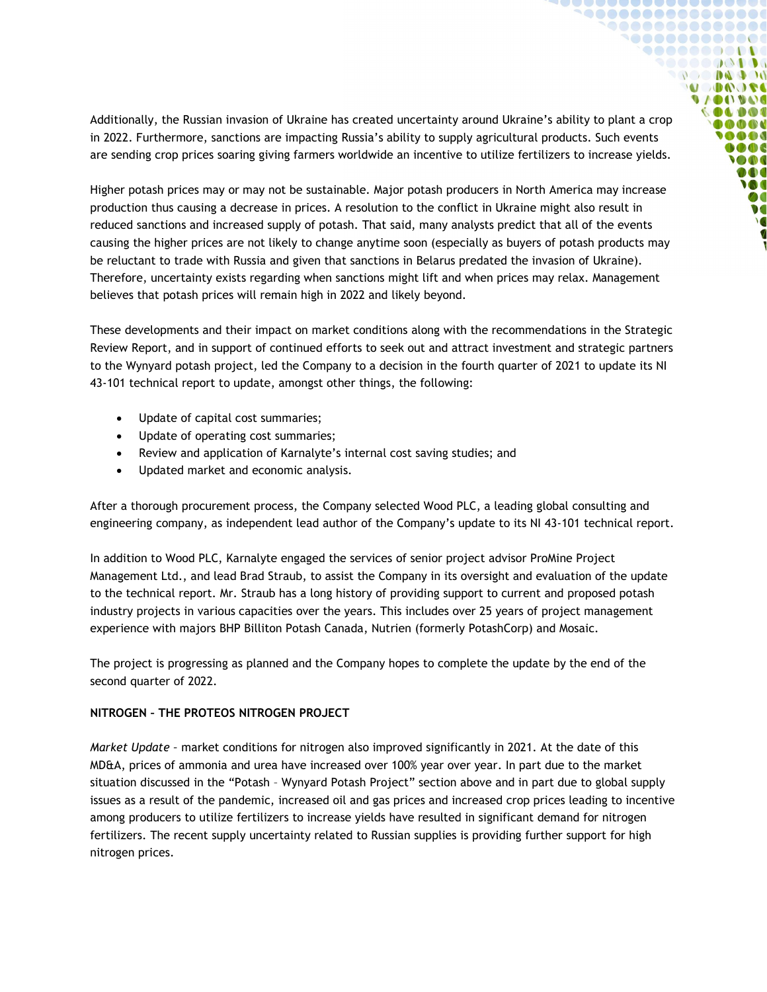Additionally, the Russian invasion of Ukraine has created uncertainty around Ukraine's ability to plant a crop in 2022. Furthermore, sanctions are impacting Russia's ability to supply agricultural products. Such events are sending crop prices soaring giving farmers worldwide an incentive to utilize fertilizers to increase yields.

**`^00000000000000** \@@@@@@@@@@@@  ${10000000000}$  $000000000$ **ADOOL UACO IVAIO INDOC** DOO **DOO DOC SOOT** DOO **IO** Ø0  $\bullet$ 

Higher potash prices may or may not be sustainable. Major potash producers in North America may increase production thus causing a decrease in prices. A resolution to the conflict in Ukraine might also result in reduced sanctions and increased supply of potash. That said, many analysts predict that all of the events causing the higher prices are not likely to change anytime soon (especially as buyers of potash products may be reluctant to trade with Russia and given that sanctions in Belarus predated the invasion of Ukraine). Therefore, uncertainty exists regarding when sanctions might lift and when prices may relax. Management believes that potash prices will remain high in 2022 and likely beyond.

These developments and their impact on market conditions along with the recommendations in the Strategic Review Report, and in support of continued efforts to seek out and attract investment and strategic partners to the Wynyard potash project, led the Company to a decision in the fourth quarter of 2021 to update its NI 43-101 technical report to update, amongst other things, the following:

- Update of capital cost summaries;
- Update of operating cost summaries;
- Review and application of Karnalyte's internal cost saving studies; and
- Updated market and economic analysis.

After a thorough procurement process, the Company selected Wood PLC, a leading global consulting and engineering company, as independent lead author of the Company's update to its NI 43-101 technical report.

In addition to Wood PLC, Karnalyte engaged the services of senior project advisor ProMine Project Management Ltd., and lead Brad Straub, to assist the Company in its oversight and evaluation of the update to the technical report. Mr. Straub has a long history of providing support to current and proposed potash industry projects in various capacities over the years. This includes over 25 years of project management experience with majors BHP Billiton Potash Canada, Nutrien (formerly PotashCorp) and Mosaic.

The project is progressing as planned and the Company hopes to complete the update by the end of the second quarter of 2022.

## NITROGEN – THE PROTEOS NITROGEN PROJECT

Market Update – market conditions for nitrogen also improved significantly in 2021. At the date of this MD&A, prices of ammonia and urea have increased over 100% year over year. In part due to the market situation discussed in the "Potash – Wynyard Potash Project" section above and in part due to global supply issues as a result of the pandemic, increased oil and gas prices and increased crop prices leading to incentive among producers to utilize fertilizers to increase yields have resulted in significant demand for nitrogen fertilizers. The recent supply uncertainty related to Russian supplies is providing further support for high nitrogen prices.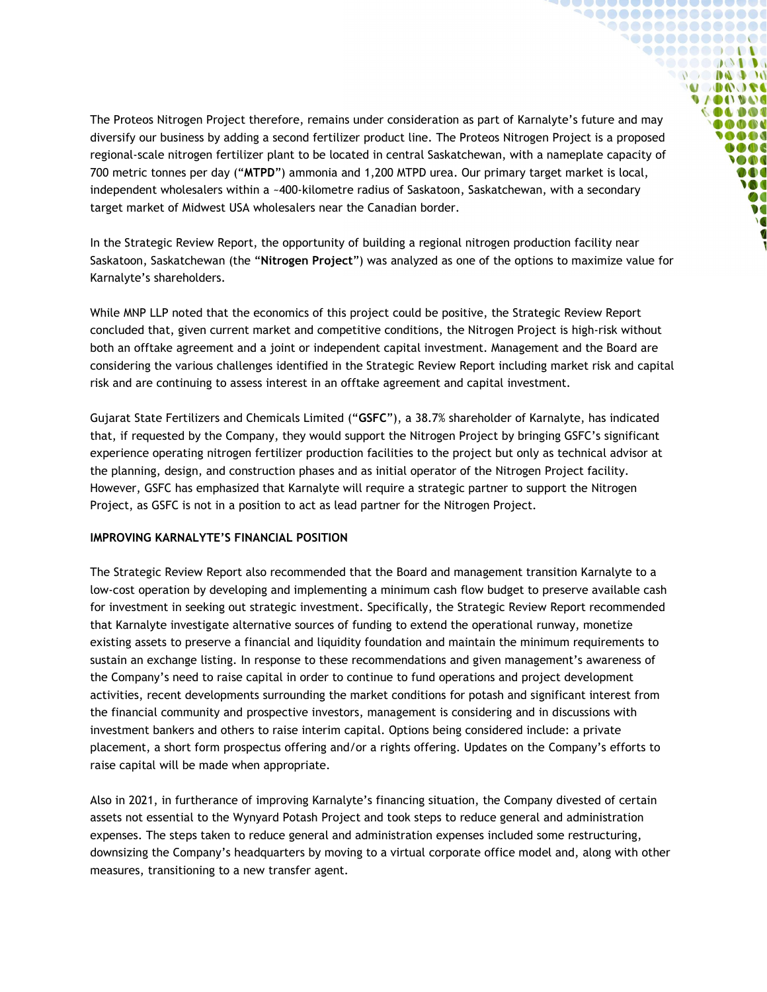The Proteos Nitrogen Project therefore, remains under consideration as part of Karnalyte's future and may diversify our business by adding a second fertilizer product line. The Proteos Nitrogen Project is a proposed regional-scale nitrogen fertilizer plant to be located in central Saskatchewan, with a nameplate capacity of 700 metric tonnes per day ("MTPD") ammonia and 1,200 MTPD urea. Our primary target market is local, independent wholesalers within a ~400-kilometre radius of Saskatoon, Saskatchewan, with a secondary target market of Midwest USA wholesalers near the Canadian border.

**`^00000000000000** 1000000000000 **9000000000** ,,,,,,,,,, **OC DAD ON A COOP OF UIDELAND COLDOI** 000**C AAA**  $\bullet$   $\bullet$   $\bullet$ **SOOT** 000 **VOC** Ø  $\bullet$ 

In the Strategic Review Report, the opportunity of building a regional nitrogen production facility near Saskatoon, Saskatchewan (the "Nitrogen Project") was analyzed as one of the options to maximize value for Karnalyte's shareholders.

While MNP LLP noted that the economics of this project could be positive, the Strategic Review Report concluded that, given current market and competitive conditions, the Nitrogen Project is high-risk without both an offtake agreement and a joint or independent capital investment. Management and the Board are considering the various challenges identified in the Strategic Review Report including market risk and capital risk and are continuing to assess interest in an offtake agreement and capital investment.

Gujarat State Fertilizers and Chemicals Limited ("GSFC"), a 38.7% shareholder of Karnalyte, has indicated that, if requested by the Company, they would support the Nitrogen Project by bringing GSFC's significant experience operating nitrogen fertilizer production facilities to the project but only as technical advisor at the planning, design, and construction phases and as initial operator of the Nitrogen Project facility. However, GSFC has emphasized that Karnalyte will require a strategic partner to support the Nitrogen Project, as GSFC is not in a position to act as lead partner for the Nitrogen Project.

## IMPROVING KARNALYTE'S FINANCIAL POSITION

The Strategic Review Report also recommended that the Board and management transition Karnalyte to a low-cost operation by developing and implementing a minimum cash flow budget to preserve available cash for investment in seeking out strategic investment. Specifically, the Strategic Review Report recommended that Karnalyte investigate alternative sources of funding to extend the operational runway, monetize existing assets to preserve a financial and liquidity foundation and maintain the minimum requirements to sustain an exchange listing. In response to these recommendations and given management's awareness of the Company's need to raise capital in order to continue to fund operations and project development activities, recent developments surrounding the market conditions for potash and significant interest from the financial community and prospective investors, management is considering and in discussions with investment bankers and others to raise interim capital. Options being considered include: a private placement, a short form prospectus offering and/or a rights offering. Updates on the Company's efforts to raise capital will be made when appropriate.

Also in 2021, in furtherance of improving Karnalyte's financing situation, the Company divested of certain assets not essential to the Wynyard Potash Project and took steps to reduce general and administration expenses. The steps taken to reduce general and administration expenses included some restructuring, downsizing the Company's headquarters by moving to a virtual corporate office model and, along with other measures, transitioning to a new transfer agent.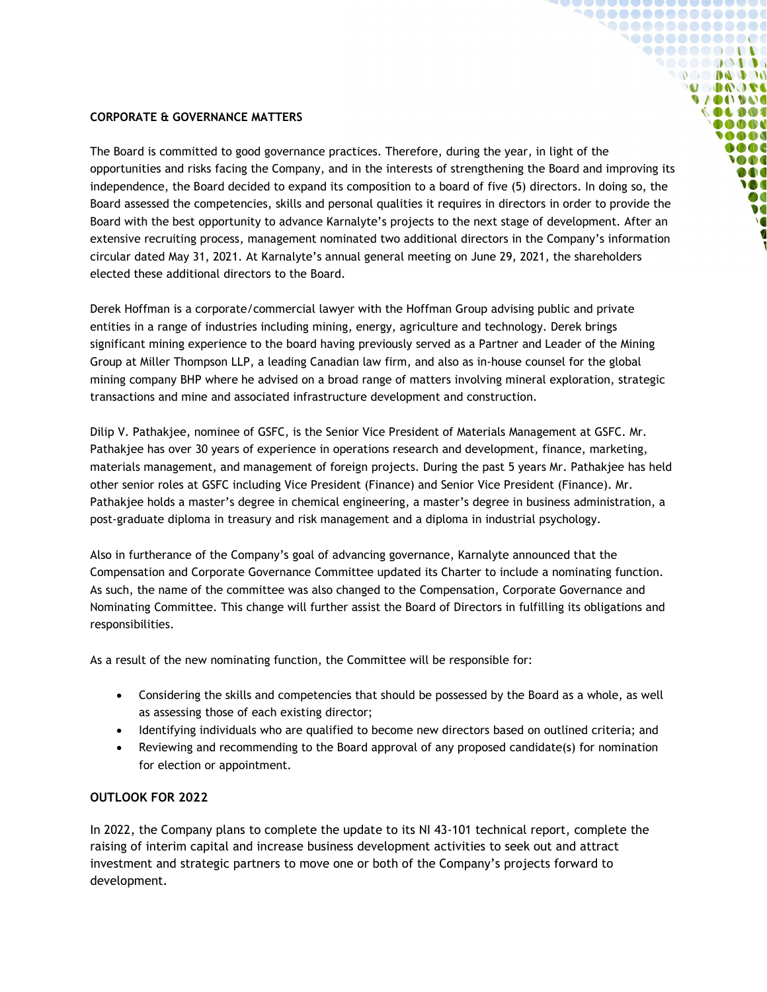## CORPORATE & GOVERNANCE MATTERS

The Board is committed to good governance practices. Therefore, during the year, in light of the opportunities and risks facing the Company, and in the interests of strengthening the Board and improving its independence, the Board decided to expand its composition to a board of five (5) directors. In doing so, the Board assessed the competencies, skills and personal qualities it requires in directors in order to provide the Board with the best opportunity to advance Karnalyte's projects to the next stage of development. After an extensive recruiting process, management nominated two additional directors in the Company's information circular dated May 31, 2021. At Karnalyte's annual general meeting on June 29, 2021, the shareholders elected these additional directors to the Board.

**`^00000000000000 `@@@@@@@@@@@**  ${10000000000}$ **DO DAD OF ADOOL UACO IVAIO ICOR** OOO **DOO**  $000$ **OD** DOO **M** Ø0  $\bullet$ 

Derek Hoffman is a corporate/commercial lawyer with the Hoffman Group advising public and private entities in a range of industries including mining, energy, agriculture and technology. Derek brings significant mining experience to the board having previously served as a Partner and Leader of the Mining Group at Miller Thompson LLP, a leading Canadian law firm, and also as in-house counsel for the global mining company BHP where he advised on a broad range of matters involving mineral exploration, strategic transactions and mine and associated infrastructure development and construction.

Dilip V. Pathakjee, nominee of GSFC, is the Senior Vice President of Materials Management at GSFC. Mr. Pathakjee has over 30 years of experience in operations research and development, finance, marketing, materials management, and management of foreign projects. During the past 5 years Mr. Pathakjee has held other senior roles at GSFC including Vice President (Finance) and Senior Vice President (Finance). Mr. Pathakjee holds a master's degree in chemical engineering, a master's degree in business administration, a post-graduate diploma in treasury and risk management and a diploma in industrial psychology.

Also in furtherance of the Company's goal of advancing governance, Karnalyte announced that the Compensation and Corporate Governance Committee updated its Charter to include a nominating function. As such, the name of the committee was also changed to the Compensation, Corporate Governance and Nominating Committee. This change will further assist the Board of Directors in fulfilling its obligations and responsibilities.

As a result of the new nominating function, the Committee will be responsible for:

- Considering the skills and competencies that should be possessed by the Board as a whole, as well as assessing those of each existing director;
- Identifying individuals who are qualified to become new directors based on outlined criteria; and
- Reviewing and recommending to the Board approval of any proposed candidate(s) for nomination for election or appointment.

## OUTLOOK FOR 2022

In 2022, the Company plans to complete the update to its NI 43-101 technical report, complete the raising of interim capital and increase business development activities to seek out and attract investment and strategic partners to move one or both of the Company's projects forward to development.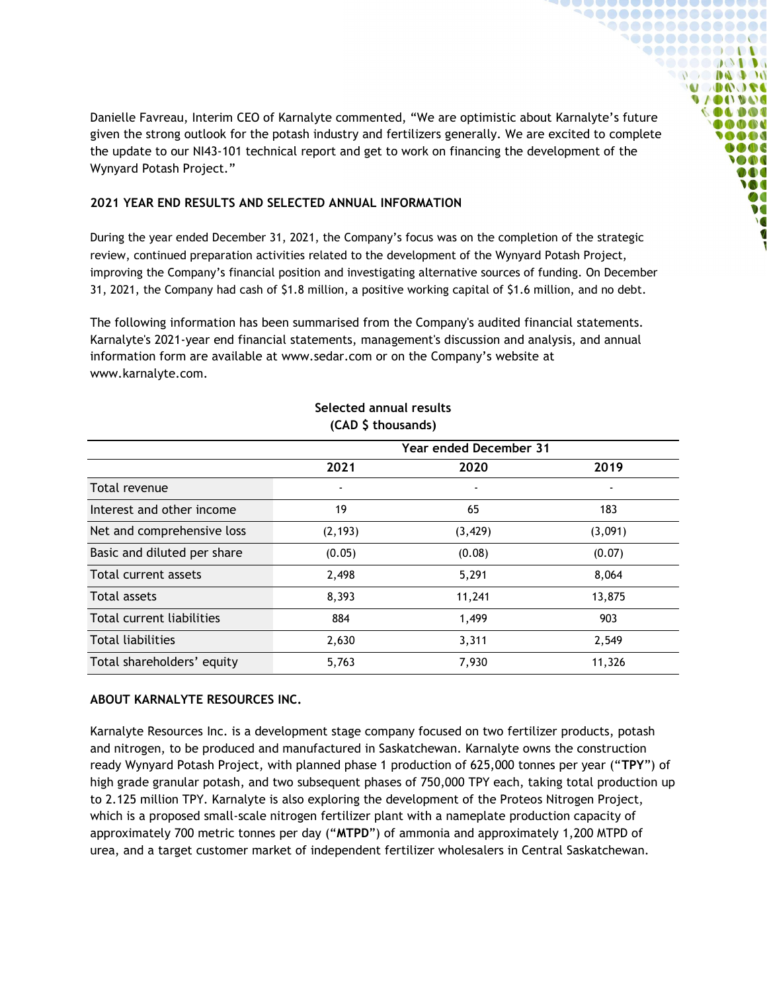Danielle Favreau, Interim CEO of Karnalyte commented, "We are optimistic about Karnalyte's future given the strong outlook for the potash industry and fertilizers generally. We are excited to complete the update to our NI43-101 technical report and get to work on financing the development of the Wynyard Potash Project."

**`@@@@@@@@@@@@@@@** , . . . . . . . . . . . . . . **...........** . . . . . . . . . . **DO DA DO ADOOL UACO IVAIO OLDOI** OOR **AAA**  $\bullet$   $\bullet$   $\bullet$ **SOOT** DOO **VOC** Ø0  $\bullet$ 

## 2021 YEAR END RESULTS AND SELECTED ANNUAL INFORMATION

During the year ended December 31, 2021, the Company's focus was on the completion of the strategic review, continued preparation activities related to the development of the Wynyard Potash Project, improving the Company's financial position and investigating alternative sources of funding. On December 31, 2021, the Company had cash of \$1.8 million, a positive working capital of \$1.6 million, and no debt.

The following information has been summarised from the Company's audited financial statements. Karnalyte's 2021-year end financial statements, management's discussion and analysis, and annual information form are available at www.sedar.com or on the Company's website at www.karnalyte.com.

| (CAD 5 thousands)           |                               |          |                          |
|-----------------------------|-------------------------------|----------|--------------------------|
|                             | <b>Year ended December 31</b> |          |                          |
|                             | 2021                          | 2020     | 2019                     |
| Total revenue               | $\blacksquare$                |          | $\overline{\phantom{a}}$ |
| Interest and other income   | 19                            | 65       | 183                      |
| Net and comprehensive loss  | (2, 193)                      | (3, 429) | (3,091)                  |
| Basic and diluted per share | (0.05)                        | (0.08)   | (0.07)                   |
| Total current assets        | 2,498                         | 5,291    | 8,064                    |
| Total assets                | 8,393                         | 11,241   | 13,875                   |
| Total current liabilities   | 884                           | 1,499    | 903                      |
| <b>Total liabilities</b>    | 2,630                         | 3,311    | 2,549                    |
| Total shareholders' equity  | 5,763                         | 7,930    | 11,326                   |

## Selected annual results (CAD \$ thousands)

# ABOUT KARNALYTE RESOURCES INC.

Karnalyte Resources Inc. is a development stage company focused on two fertilizer products, potash and nitrogen, to be produced and manufactured in Saskatchewan. Karnalyte owns the construction ready Wynyard Potash Project, with planned phase 1 production of 625,000 tonnes per year ("TPY") of high grade granular potash, and two subsequent phases of 750,000 TPY each, taking total production up to 2.125 million TPY. Karnalyte is also exploring the development of the Proteos Nitrogen Project, which is a proposed small-scale nitrogen fertilizer plant with a nameplate production capacity of approximately 700 metric tonnes per day ("MTPD") of ammonia and approximately 1,200 MTPD of urea, and a target customer market of independent fertilizer wholesalers in Central Saskatchewan.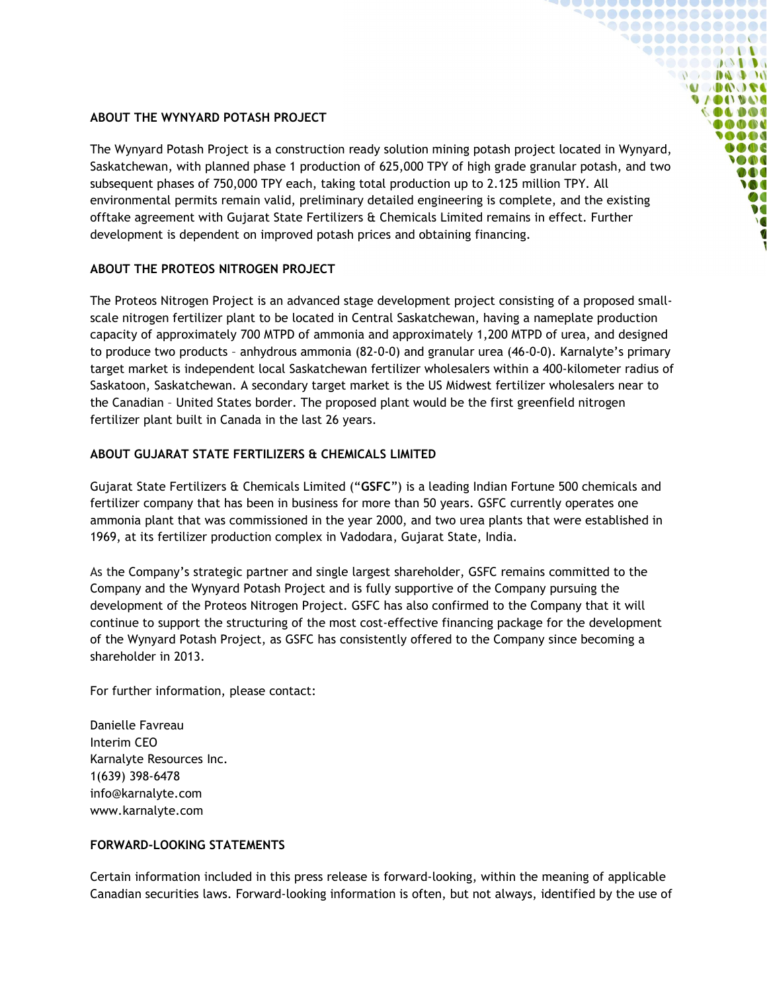# ABOUT THE WYNYARD POTASH PROJECT

The Wynyard Potash Project is a construction ready solution mining potash project located in Wynyard, Saskatchewan, with planned phase 1 production of 625,000 TPY of high grade granular potash, and two subsequent phases of 750,000 TPY each, taking total production up to 2.125 million TPY. All environmental permits remain valid, preliminary detailed engineering is complete, and the existing offtake agreement with Gujarat State Fertilizers & Chemicals Limited remains in effect. Further development is dependent on improved potash prices and obtaining financing.

 $\bullet\bullet\bullet\bullet\bullet\bullet\bullet\bullet\bullet\bullet\bullet\bullet\bullet\bullet\bullet\bullet$  $\begin{array}{c} \bullet\bullet\bullet\bullet\bullet\bullet\bullet\bullet\bullet\bullet\bullet\bullet\bullet\bullet\bullet\bullet\bullet\end{array}$ \@@@@@@@@@@@@ **...........** . . . . . . . . . . **DO DA DO U DA JEC U / DI / U 4) 6 INDOC D** OD OD O  $000$ **OD** DOO **M** DC  $\bullet$ 

# ABOUT THE PROTEOS NITROGEN PROJECT

The Proteos Nitrogen Project is an advanced stage development project consisting of a proposed smallscale nitrogen fertilizer plant to be located in Central Saskatchewan, having a nameplate production capacity of approximately 700 MTPD of ammonia and approximately 1,200 MTPD of urea, and designed to produce two products – anhydrous ammonia (82-0-0) and granular urea (46-0-0). Karnalyte's primary target market is independent local Saskatchewan fertilizer wholesalers within a 400-kilometer radius of Saskatoon, Saskatchewan. A secondary target market is the US Midwest fertilizer wholesalers near to the Canadian – United States border. The proposed plant would be the first greenfield nitrogen fertilizer plant built in Canada in the last 26 years.

## ABOUT GUJARAT STATE FERTILIZERS & CHEMICALS LIMITED

Gujarat State Fertilizers & Chemicals Limited ("GSFC") is a leading Indian Fortune 500 chemicals and fertilizer company that has been in business for more than 50 years. GSFC currently operates one ammonia plant that was commissioned in the year 2000, and two urea plants that were established in 1969, at its fertilizer production complex in Vadodara, Gujarat State, India.

As the Company's strategic partner and single largest shareholder, GSFC remains committed to the Company and the Wynyard Potash Project and is fully supportive of the Company pursuing the development of the Proteos Nitrogen Project. GSFC has also confirmed to the Company that it will continue to support the structuring of the most cost-effective financing package for the development of the Wynyard Potash Project, as GSFC has consistently offered to the Company since becoming a shareholder in 2013.

For further information, please contact:

Danielle Favreau Interim CEO Karnalyte Resources Inc. 1(639) 398-6478 info@karnalyte.com www.karnalyte.com

## FORWARD-LOOKING STATEMENTS

Certain information included in this press release is forward-looking, within the meaning of applicable Canadian securities laws. Forward-looking information is often, but not always, identified by the use of